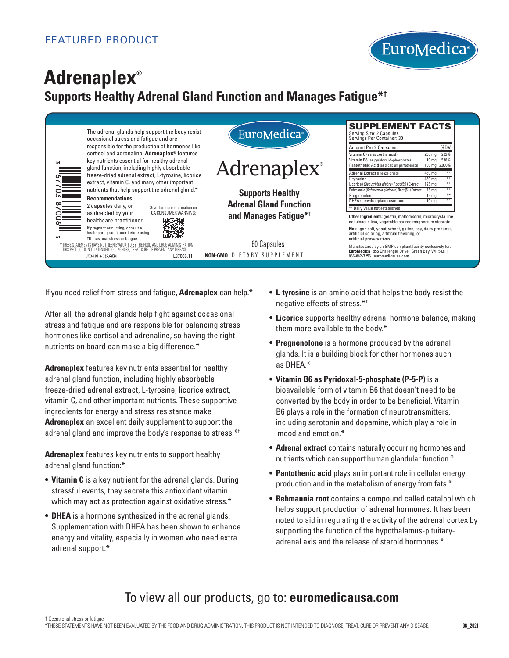

# **Adrenaplex® Supports Healthy Adrenal Gland Function and Manages Fatigue\*†**

|           | The adrenal glands help support the body resist<br>occasional stress and fatigue and are<br>responsible for the production of hormones like<br>cortisol and adrenaline. Adrenaplex <sup>®</sup> features<br>key nutrients essential for healthy adrenal<br>gland function, including highly absorbable<br>freeze-dried adrenal extract, L-tyrosine, licorice<br>extract, vitamin C, and many other important |                              | EuroMedica <sup>®</sup>                                  | <b>SUPPLEMENT FACTS</b><br>Serving Size: 2 Capsules<br>Servings Per Container: 30                                                                                                                                                                                                                                                                                                                   |
|-----------|--------------------------------------------------------------------------------------------------------------------------------------------------------------------------------------------------------------------------------------------------------------------------------------------------------------------------------------------------------------------------------------------------------------|------------------------------|----------------------------------------------------------|-----------------------------------------------------------------------------------------------------------------------------------------------------------------------------------------------------------------------------------------------------------------------------------------------------------------------------------------------------------------------------------------------------|
| <b>LN</b> |                                                                                                                                                                                                                                                                                                                                                                                                              |                              | <b>Adrenaplex</b> <sup>®</sup>                           | Amount Per 2 Capsules:<br>%DV<br>Vitamin C (as ascorbic acid)<br>222%<br>$200 \text{ mg}$<br>588%<br>Vitamin B6 (as pyridoxal-5-phosphate)<br>10 <sub>mg</sub><br>Pantothenic Acid (as d-calcium pantothenate)<br>100 mg 2,000%<br>Adrenal Extract (Freeze dried)<br>450 ma<br>450 ma<br>L-tyrosine<br>Licorice (Glycyrrhiza glabra) Root (5:1) Extract<br>$+44$<br>$125 \text{ mg}$<br>$rac{1}{2}$ |
|           | nutrients that help support the adrenal gland.*<br><b>Recommendations:</b><br>2 capsules daily, or<br>Scan for more information on                                                                                                                                                                                                                                                                           |                              | <b>Supports Healthy</b><br><b>Adrenal Gland Function</b> | Rehmannia (Rehmannia glutinosa) Root (5:1) Extract<br>75 mg<br>**<br>Pregnenolone<br>15 <sub>mg</sub><br>DHEA (dehydroepiandrosterone)<br>$+44$<br>10 <sub>mg</sub><br>** Daily Value not established                                                                                                                                                                                               |
|           | as directed by your<br>healthcare practitioner.<br>If pregnant or nursing, consult a<br>healthcare practitioner before using.                                                                                                                                                                                                                                                                                | CA CONSUMER WARNING:<br>回露杀回 | and Manages Fatigue* <sup>†</sup>                        | Other Ingredients: gelatin, maltodextrin, microcrystalline<br>cellulose, silica, vegetable source magnesium stearate.<br>No sugar, salt, yeast, wheat, gluten, soy, dairy products,                                                                                                                                                                                                                 |
|           | †Occasional stress or fatique.<br>ENTS HAVE NOT BEEN EVALUATED BY THE EOOD AND DRUG ADMINISTRATION<br>THIS PRODUCT IS NOT INTENDED TO DIAGNOSE, TREAT, CURE OR PREVENT ANY DISEASE<br>JC 34 91 + 3(5,6)EM                                                                                                                                                                                                    | L87006.11                    | 60 Capsules<br><b>NON-GMO DIETARY SUPPLEMENT</b>         | artificial coloring, artificial flavoring, or<br>artificial preservatives.<br>Manufactured by a cGMP compliant facility exclusively for:<br>EuroMedica 955 Challenger Drive Green Bay, WI 54311<br>866-842-7256 euromedicausa.com                                                                                                                                                                   |

If you need relief from stress and fatigue, **Adrenaplex** can help.\*

After all, the adrenal glands help fight against occasional stress and fatigue and are responsible for balancing stress hormones like cortisol and adrenaline, so having the right nutrients on board can make a big difference.\*

**Adrenaplex** features key nutrients essential for healthy adrenal gland function, including highly absorbable freeze-dried adrenal extract, L-tyrosine, licorice extract, vitamin C, and other important nutrients. These supportive ingredients for energy and stress resistance make **Adrenaplex** an excellent daily supplement to support the adrenal gland and improve the body's response to stress.\*†

**Adrenaplex** features key nutrients to support healthy adrenal gland function:\*

- **Vitamin C** is a key nutrient for the adrenal glands. During stressful events, they secrete this antioxidant vitamin which may act as protection against oxidative stress.\*
- **DHEA** is a hormone synthesized in the adrenal glands. Supplementation with DHEA has been shown to enhance energy and vitality, especially in women who need extra adrenal support.\*
- **L-tyrosine** is an amino acid that helps the body resist the negative effects of stress.\*†
- **Licorice** supports healthy adrenal hormone balance, making them more available to the body.\*
- **Pregnenolone** is a hormone produced by the adrenal glands. It is a building block for other hormones such as DHEA.\*
- **Vitamin B6 as Pyridoxal-5-phosphate (P-5-P)** is a bioavailable form of vitamin B6 that doesn't need to be converted by the body in order to be beneficial. Vitamin B6 plays a role in the formation of neurotransmitters, including serotonin and dopamine, which play a role in mood and emotion.\*
- **Adrenal extract** contains naturally occurring hormones and nutrients which can support human glandular function.\*
- **Pantothenic acid** plays an important role in cellular energy production and in the metabolism of energy from fats.\*
- **Rehmannia root** contains a compound called catalpol which helps support production of adrenal hormones. It has been noted to aid in regulating the activity of the adrenal cortex by supporting the function of the hypothalamus-pituitaryadrenal axis and the release of steroid hormones.\*

# To view all our products, go to: **euromedicausa.com**